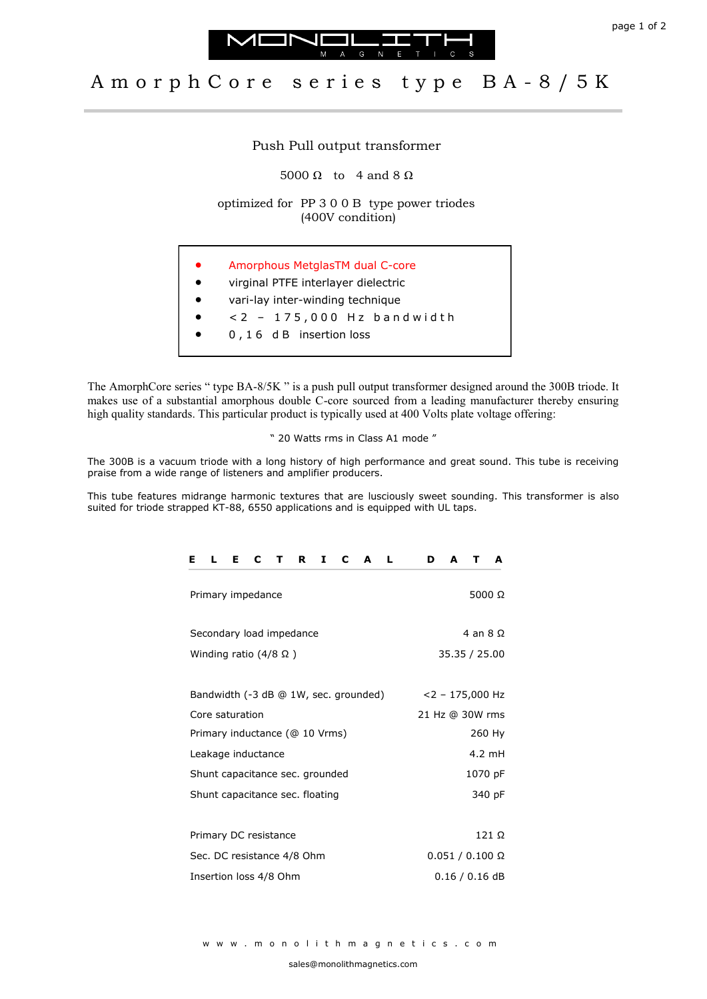



## A m orph C ore series type B A - 8 / 5 K

## Push Pull output transformer

5000 Ω to 4 and 8  $Ω$ 

optimized for PP 3 0 0 B type power triodes (400V condition)

- Amorphous MetglasTM dual C-core
- virginal PTFE interlayer dielectric
- vari-lay inter-winding technique
- $< 2 175,000$  Hz bandwidth
- 0 , 1 6 d B insertion loss

The AmorphCore series " type BA-8/5K " is a push pull output transformer designed around the 300B triode. It makes use of a substantial amorphous double C-core sourced from a leading manufacturer thereby ensuring high quality standards. This particular product is typically used at 400 Volts plate voltage offering:

" 20 Watts rms in Class A1 mode "

The 300B is a vacuum triode with a long history of high performance and great sound. This tube is receiving praise from a wide range of listeners and amplifier producers.

This tube features midrange harmonic textures that are lusciously sweet sounding. This transformer is also suited for triode strapped KT-88, 6550 applications and is equipped with UL taps.

| $\mathbf{C}$<br>п.<br>E.<br>C<br>$\mathbf{T}$<br>R<br>I<br>-L,<br>Е<br>A | D<br>A<br>A<br>т       |
|--------------------------------------------------------------------------|------------------------|
| Primary impedance                                                        | 5000 $\Omega$          |
| Secondary load impedance                                                 | 4 an $8\Omega$         |
| Winding ratio $(4/8 \Omega)$                                             | 35.35 / 25.00          |
|                                                                          |                        |
| Bandwidth (-3 dB @ 1W, sec. grounded)                                    | $<$ 2 - 175,000 Hz     |
| Core saturation                                                          | 21 Hz @ 30W rms        |
| Primary inductance (@ 10 Vrms)                                           | 260 Hy                 |
| Leakage inductance                                                       | 4.2 mH                 |
| Shunt capacitance sec. grounded                                          | 1070 pF                |
| Shunt capacitance sec. floating                                          | 340 pF                 |
|                                                                          |                        |
| Primary DC resistance                                                    | 121 Ω                  |
| Sec. DC resistance 4/8 Ohm                                               | $0.051 / 0.100 \Omega$ |
| Insertion loss 4/8 Ohm                                                   | $0.16 / 0.16$ dB       |